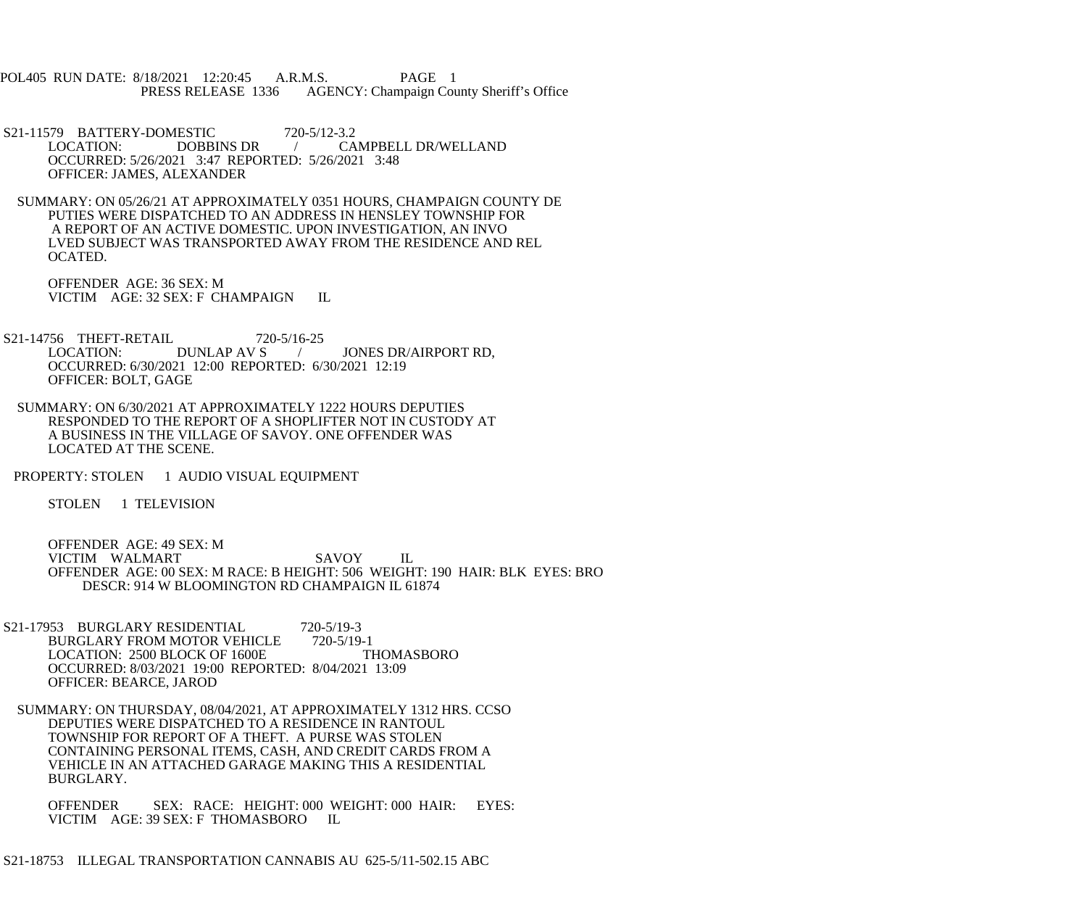POL405 RUN DATE: 8/18/2021 12:20:45 A.R.M.S. PAGE 1 PRESS RELEASE 1336 AGENCY: Champaign County Sheriff's Office

S21-11579 BATTERY-DOMESTIC 720-5/12-3.2<br>LOCATION: DOBBINS DR / CA / CAMPBELL DR/WELLAND OCCURRED: 5/26/2021 3:47 REPORTED: 5/26/2021 3:48 OFFICER: JAMES, ALEXANDER

 SUMMARY: ON 05/26/21 AT APPROXIMATELY 0351 HOURS, CHAMPAIGN COUNTY DE PUTIES WERE DISPATCHED TO AN ADDRESS IN HENSLEY TOWNSHIP FOR A REPORT OF AN ACTIVE DOMESTIC. UPON INVESTIGATION, AN INVO LVED SUBJECT WAS TRANSPORTED AWAY FROM THE RESIDENCE AND REL OCATED.

 OFFENDER AGE: 36 SEX: M VICTIM AGE: 32 SEX: F CHAMPAIGN IL

S21-14756 THEFT-RETAIL 720-5/16-25<br>LOCATION: DUNLAP AV S / JONES DR/AIRPORT RD, OCCURRED: 6/30/2021 12:00 REPORTED: 6/30/2021 12:19 OFFICER: BOLT, GAGE

 SUMMARY: ON 6/30/2021 AT APPROXIMATELY 1222 HOURS DEPUTIES RESPONDED TO THE REPORT OF A SHOPLIFTER NOT IN CUSTODY AT A BUSINESS IN THE VILLAGE OF SAVOY. ONE OFFENDER WAS LOCATED AT THE SCENE.

PROPERTY: STOLEN 1 AUDIO VISUAL EQUIPMENT

STOLEN 1 TELEVISION

 OFFENDER AGE: 49 SEX: M VICTIM WALMART SAVOY IL OFFENDER AGE: 00 SEX: M RACE: B HEIGHT: 506 WEIGHT: 190 HAIR: BLK EYES: BRO DESCR: 914 W BLOOMINGTON RD CHAMPAIGN IL 61874

S21-17953 BURGLARY RESIDENTIAL 720-5/19-3<br>BURGLARY FROM MOTOR VEHICLE 720-5/19-1 BURGLARY FROM MOTOR VEHICLE 720-5/19-1<br>LOCATION: 2500 BLOCK OF 1600E THOMASBORO LOCATION: 2500 BLOCK OF 1600E OCCURRED: 8/03/2021 19:00 REPORTED: 8/04/2021 13:09 OFFICER: BEARCE, JAROD

 SUMMARY: ON THURSDAY, 08/04/2021, AT APPROXIMATELY 1312 HRS. CCSO DEPUTIES WERE DISPATCHED TO A RESIDENCE IN RANTOUL TOWNSHIP FOR REPORT OF A THEFT. A PURSE WAS STOLEN CONTAINING PERSONAL ITEMS, CASH, AND CREDIT CARDS FROM A VEHICLE IN AN ATTACHED GARAGE MAKING THIS A RESIDENTIAL BURGLARY.

 OFFENDER SEX: RACE: HEIGHT: 000 WEIGHT: 000 HAIR: EYES: VICTIM AGE: 39 SEX: F THOMASBORO IL